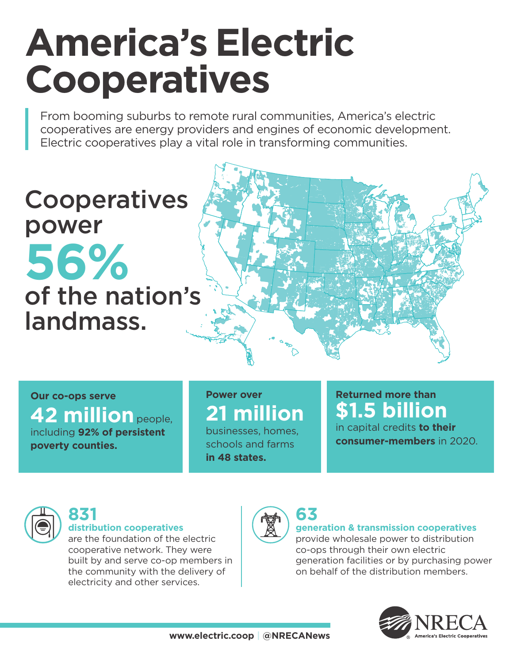# **America's Electric Cooperatives**

From booming suburbs to remote rural communities, America's electric cooperatives are energy providers and engines of economic development. Electric cooperatives play a vital role in transforming communities.

## **Cooperatives** power **56%** of the nation's landmass.



**Our co-ops serve 42 million** people, including **92% of persistent poverty counties.**

#### **Power over 21 million**

businesses, homes, schools and farms **in 48 states.**

#### **Returned more than \$1.5 billion**

in capital credits **to their consumer-members** in 2020.



#### **831 distribution cooperatives**

are the foundation of the electric cooperative network. They were built by and serve co-op members in the community with the delivery of electricity and other services.



#### **generation & transmission cooperatives**

provide wholesale power to distribution co-ops through their own electric generation facilities or by purchasing power on behalf of the distribution members.

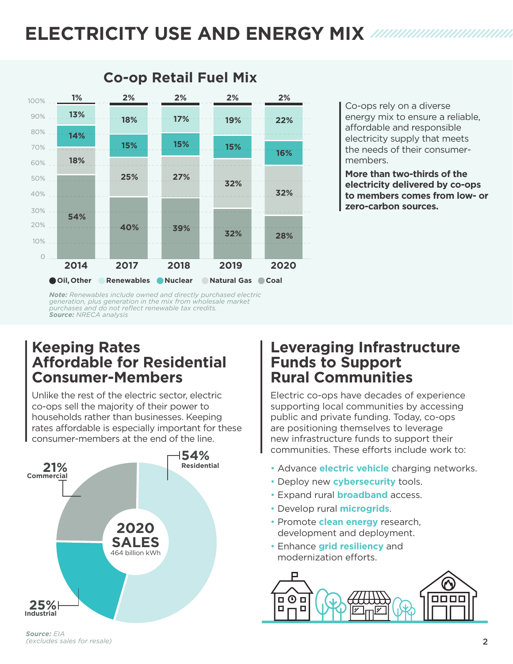## **ELECTRICITY USE AND ENERGY MIX**



Co-ops rely on a diverse energy mix to ensure a reliable, affordable and responsible electricity supply that meets the needs of their consumermembers.

**More than two-thirds of the electricity delivered by co-ops to members comes from low- or | zero-carbon sources.** 

*Note: Renewables include owned and directly purchased electric generation, plus generation in the mix from wholesale market purchases and do not reflect renewable tax credits. Source: NRECA analysis*

**2%**

#### **Keeping Rates Affordable for Residential Consumer-Members**

Unlike the rest of the electric sector, electric co-ops sell the majority of their power to households rather than businesses. Keeping rates affordable is especially important for these consumer-members at the end of the line.



#### **Leveraging Infrastructure Funds to Support Rural Communities**

Electric co-ops have decades of experience supporting local communities by accessing public and private funding. Today, co-ops are positioning themselves to leverage new infrastructure funds to support their communities. These efforts include work to:

- Advance **electric vehicle** charging networks.
- Deploy new **cybersecurity** tools.
- Expand rural **broadband** access.
- Develop rural **microgrids**.
- Develop rural **microgrids.**<br>• Promote **clean energy** research, development and deployment.
- Enhance **grid resiliency** and modernization efforts.

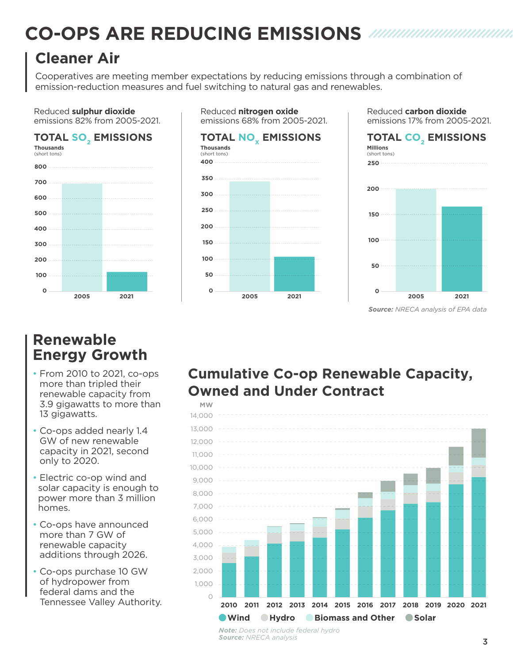## **CO-OPS ARE REDUCING EMISSIONS**

### **Cleaner Air**

Cooperatives are meeting member expectations by reducing emissions through a combination of emission-reduction measures and fuel switching to natural gas and renewables.

Reduced **nitrogen oxide**

#### Reduced **sulphur dioxide** emissions 82% from 2005-2021.

#### **TOTAL SO2 EMISSIONS**



#### emissions 68% from 2005-2021. **TOTAL NO<sub>v</sub> EMISSIONS Thousands**  (short tons) **0 50 100 150 200 250 300 350 400 2005 2021**





*Source: NRECA analysis of EPA data*

#### **Renewable Energy Growth**

- From 2010 to 2021, co-ops more than tripled their renewable capacity from 3.9 gigawatts to more than 13 gigawatts.
- Co-ops added nearly 1.4 GW of new renewable capacity in 2021, second only to 2020.
- Electric co-op wind and solar capacity is enough to power more than 3 million homes.
- Co-ops have announced more than 7 GW of renewable capacity additions through 2026.
- Co-ops purchase 10 GW of hydropower from federal dams and the Tennessee Valley Authority.

#### **Cumulative Co-op Renewable Capacity, Owned and Under Contract**



*Note: Does not include federal hydro Source: NRECA analysis*